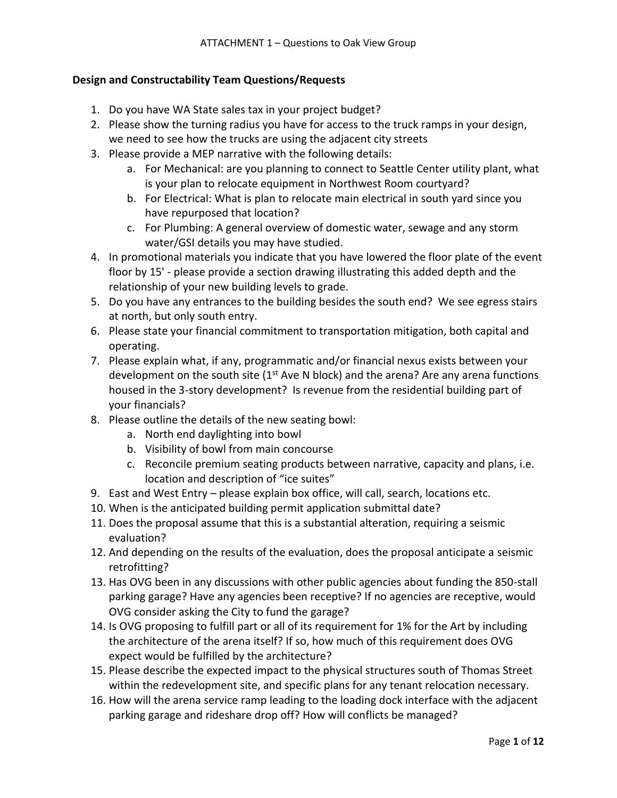# **Design and Constructability Team Questions/Requests**

- 1. Do you have WA State sales tax in your project budget?
- 2. Please show the turning radius you have for access to the truck ramps in your design, we need to see how the trucks are using the adjacent city streets
- 3. Please provide a MEP narrative with the following details:
	- a. For Mechanical: are you planning to connect to Seattle Center utility plant, what is your plan to relocate equipment in Northwest Room courtyard?
	- b. For Electrical: What is plan to relocate main electrical in south yard since you have repurposed that location?
	- c. For Plumbing: A general overview of domestic water, sewage and any storm water/GSI details you may have studied.
- 4. In promotional materials you indicate that you have lowered the floor plate of the event floor by 15' - please provide a section drawing illustrating this added depth and the relationship of your new building levels to grade.
- 5. Do you have any entrances to the building besides the south end? We see egress stairs at north, but only south entry.
- 6. Please state your financial commitment to transportation mitigation, both capital and operating.
- 7. Please explain what, if any, programmatic and/or financial nexus exists between your development on the south site  $(1^{st}$  Ave N block) and the arena? Are any arena functions housed in the 3-story development? Is revenue from the residential building part of your financials?
- 8. Please outline the details of the new seating bowl:
	- a. North end daylighting into bowl
	- b. Visibility of bowl from main concourse
	- c. Reconcile premium seating products between narrative, capacity and plans, i.e. location and description of "ice suites"
- 9. East and West Entry please explain box office, will call, search, locations etc.
- 10. When is the anticipated building permit application submittal date?
- 11. Does the proposal assume that this is a substantial alteration, requiring a seismic evaluation?
- 12. And depending on the results of the evaluation, does the proposal anticipate a seismic retrofitting?
- 13. Has OVG been in any discussions with other public agencies about funding the 850-stall parking garage? Have any agencies been receptive? If no agencies are receptive, would OVG consider asking the City to fund the garage?
- 14. Is OVG proposing to fulfill part or all of its requirement for 1% for the Art by including the architecture of the arena itself? If so, how much of this requirement does OVG expect would be fulfilled by the architecture?
- 15. Please describe the expected impact to the physical structures south of Thomas Street within the redevelopment site, and specific plans for any tenant relocation necessary.
- 16. How will the arena service ramp leading to the loading dock interface with the adjacent parking garage and rideshare drop off? How will conflicts be managed?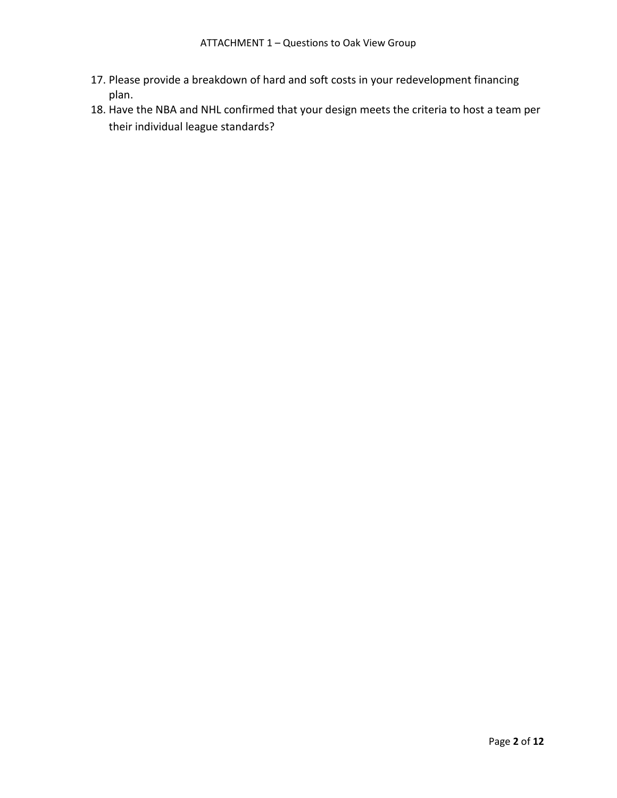- 17. Please provide a breakdown of hard and soft costs in your redevelopment financing plan.
- 18. Have the NBA and NHL confirmed that your design meets the criteria to host a team per their individual league standards?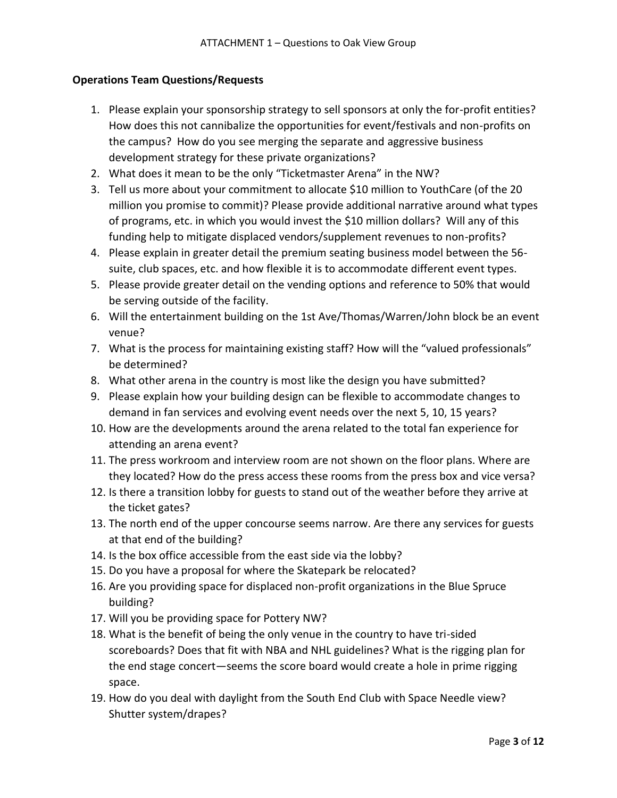## **Operations Team Questions/Requests**

- 1. Please explain your sponsorship strategy to sell sponsors at only the for-profit entities? How does this not cannibalize the opportunities for event/festivals and non-profits on the campus? How do you see merging the separate and aggressive business development strategy for these private organizations?
- 2. What does it mean to be the only "Ticketmaster Arena" in the NW?
- 3. Tell us more about your commitment to allocate \$10 million to YouthCare (of the 20 million you promise to commit)? Please provide additional narrative around what types of programs, etc. in which you would invest the \$10 million dollars? Will any of this funding help to mitigate displaced vendors/supplement revenues to non-profits?
- 4. Please explain in greater detail the premium seating business model between the 56 suite, club spaces, etc. and how flexible it is to accommodate different event types.
- 5. Please provide greater detail on the vending options and reference to 50% that would be serving outside of the facility.
- 6. Will the entertainment building on the 1st Ave/Thomas/Warren/John block be an event venue?
- 7. What is the process for maintaining existing staff? How will the "valued professionals" be determined?
- 8. What other arena in the country is most like the design you have submitted?
- 9. Please explain how your building design can be flexible to accommodate changes to demand in fan services and evolving event needs over the next 5, 10, 15 years?
- 10. How are the developments around the arena related to the total fan experience for attending an arena event?
- 11. The press workroom and interview room are not shown on the floor plans. Where are they located? How do the press access these rooms from the press box and vice versa?
- 12. Is there a transition lobby for guests to stand out of the weather before they arrive at the ticket gates?
- 13. The north end of the upper concourse seems narrow. Are there any services for guests at that end of the building?
- 14. Is the box office accessible from the east side via the lobby?
- 15. Do you have a proposal for where the Skatepark be relocated?
- 16. Are you providing space for displaced non-profit organizations in the Blue Spruce building?
- 17. Will you be providing space for Pottery NW?
- 18. What is the benefit of being the only venue in the country to have tri-sided scoreboards? Does that fit with NBA and NHL guidelines? What is the rigging plan for the end stage concert—seems the score board would create a hole in prime rigging space.
- 19. How do you deal with daylight from the South End Club with Space Needle view? Shutter system/drapes?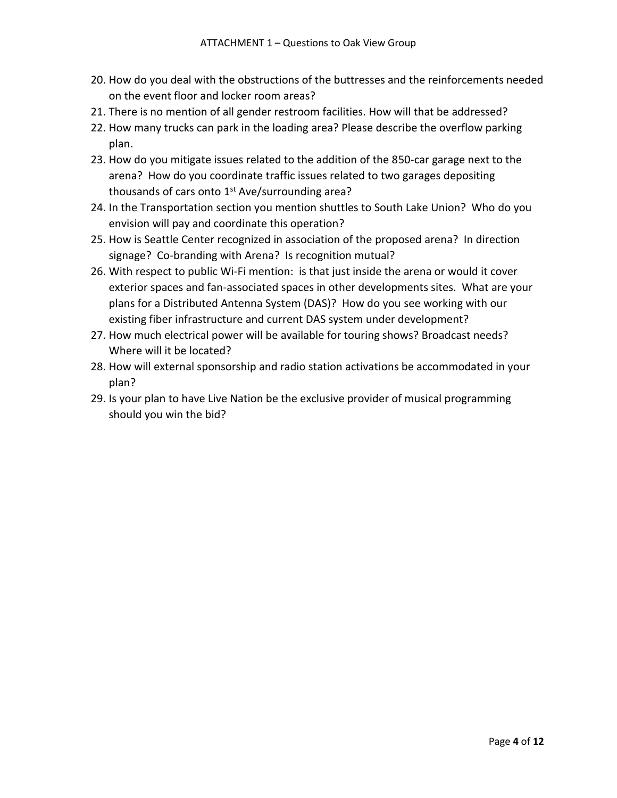- 20. How do you deal with the obstructions of the buttresses and the reinforcements needed on the event floor and locker room areas?
- 21. There is no mention of all gender restroom facilities. How will that be addressed?
- 22. How many trucks can park in the loading area? Please describe the overflow parking plan.
- 23. How do you mitigate issues related to the addition of the 850-car garage next to the arena? How do you coordinate traffic issues related to two garages depositing thousands of cars onto  $1<sup>st</sup>$  Ave/surrounding area?
- 24. In the Transportation section you mention shuttles to South Lake Union? Who do you envision will pay and coordinate this operation?
- 25. How is Seattle Center recognized in association of the proposed arena? In direction signage? Co-branding with Arena? Is recognition mutual?
- 26. With respect to public Wi-Fi mention: is that just inside the arena or would it cover exterior spaces and fan-associated spaces in other developments sites. What are your plans for a Distributed Antenna System (DAS)? How do you see working with our existing fiber infrastructure and current DAS system under development?
- 27. How much electrical power will be available for touring shows? Broadcast needs? Where will it be located?
- 28. How will external sponsorship and radio station activations be accommodated in your plan?
- 29. Is your plan to have Live Nation be the exclusive provider of musical programming should you win the bid?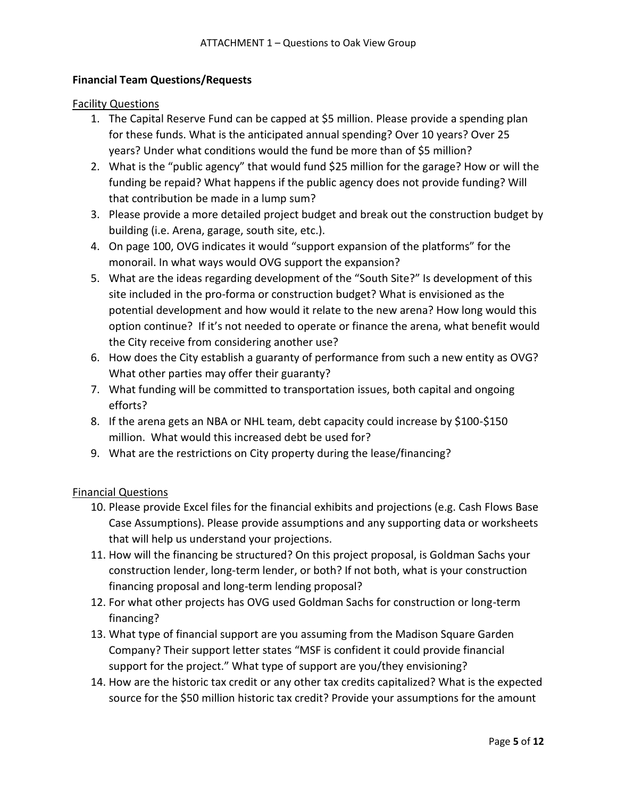## **Financial Team Questions/Requests**

#### Facility Questions

- 1. The Capital Reserve Fund can be capped at \$5 million. Please provide a spending plan for these funds. What is the anticipated annual spending? Over 10 years? Over 25 years? Under what conditions would the fund be more than of \$5 million?
- 2. What is the "public agency" that would fund \$25 million for the garage? How or will the funding be repaid? What happens if the public agency does not provide funding? Will that contribution be made in a lump sum?
- 3. Please provide a more detailed project budget and break out the construction budget by building (i.e. Arena, garage, south site, etc.).
- 4. On page 100, OVG indicates it would "support expansion of the platforms" for the monorail. In what ways would OVG support the expansion?
- 5. What are the ideas regarding development of the "South Site?" Is development of this site included in the pro-forma or construction budget? What is envisioned as the potential development and how would it relate to the new arena? How long would this option continue? If it's not needed to operate or finance the arena, what benefit would the City receive from considering another use?
- 6. How does the City establish a guaranty of performance from such a new entity as OVG? What other parties may offer their guaranty?
- 7. What funding will be committed to transportation issues, both capital and ongoing efforts?
- 8. If the arena gets an NBA or NHL team, debt capacity could increase by \$100-\$150 million. What would this increased debt be used for?
- 9. What are the restrictions on City property during the lease/financing?

#### Financial Questions

- 10. Please provide Excel files for the financial exhibits and projections (e.g. Cash Flows Base Case Assumptions). Please provide assumptions and any supporting data or worksheets that will help us understand your projections.
- 11. How will the financing be structured? On this project proposal, is Goldman Sachs your construction lender, long-term lender, or both? If not both, what is your construction financing proposal and long-term lending proposal?
- 12. For what other projects has OVG used Goldman Sachs for construction or long-term financing?
- 13. What type of financial support are you assuming from the Madison Square Garden Company? Their support letter states "MSF is confident it could provide financial support for the project." What type of support are you/they envisioning?
- 14. How are the historic tax credit or any other tax credits capitalized? What is the expected source for the \$50 million historic tax credit? Provide your assumptions for the amount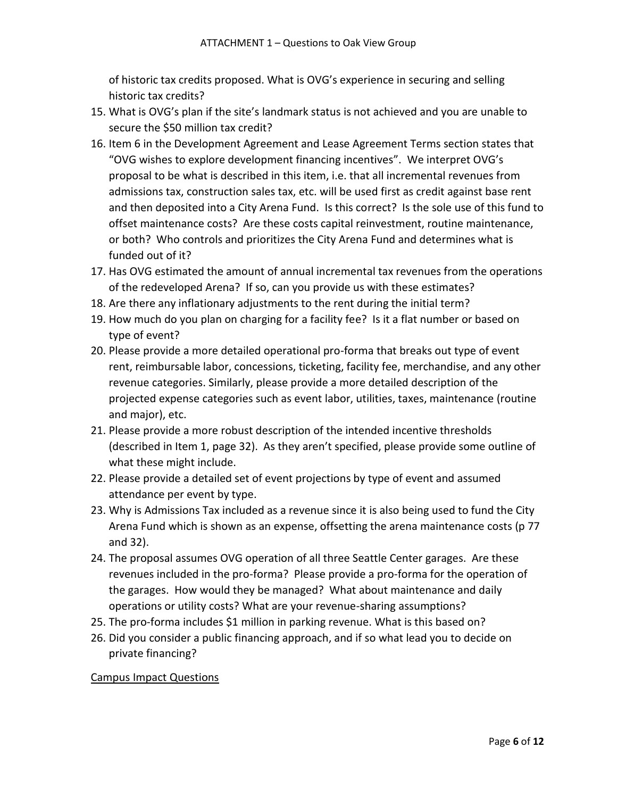of historic tax credits proposed. What is OVG's experience in securing and selling historic tax credits?

- 15. What is OVG's plan if the site's landmark status is not achieved and you are unable to secure the \$50 million tax credit?
- 16. Item 6 in the Development Agreement and Lease Agreement Terms section states that "OVG wishes to explore development financing incentives". We interpret OVG's proposal to be what is described in this item, i.e. that all incremental revenues from admissions tax, construction sales tax, etc. will be used first as credit against base rent and then deposited into a City Arena Fund. Is this correct? Is the sole use of this fund to offset maintenance costs? Are these costs capital reinvestment, routine maintenance, or both? Who controls and prioritizes the City Arena Fund and determines what is funded out of it?
- 17. Has OVG estimated the amount of annual incremental tax revenues from the operations of the redeveloped Arena? If so, can you provide us with these estimates?
- 18. Are there any inflationary adjustments to the rent during the initial term?
- 19. How much do you plan on charging for a facility fee? Is it a flat number or based on type of event?
- 20. Please provide a more detailed operational pro-forma that breaks out type of event rent, reimbursable labor, concessions, ticketing, facility fee, merchandise, and any other revenue categories. Similarly, please provide a more detailed description of the projected expense categories such as event labor, utilities, taxes, maintenance (routine and major), etc.
- 21. Please provide a more robust description of the intended incentive thresholds (described in Item 1, page 32). As they aren't specified, please provide some outline of what these might include.
- 22. Please provide a detailed set of event projections by type of event and assumed attendance per event by type.
- 23. Why is Admissions Tax included as a revenue since it is also being used to fund the City Arena Fund which is shown as an expense, offsetting the arena maintenance costs (p 77 and 32).
- 24. The proposal assumes OVG operation of all three Seattle Center garages. Are these revenues included in the pro-forma? Please provide a pro-forma for the operation of the garages. How would they be managed? What about maintenance and daily operations or utility costs? What are your revenue-sharing assumptions?
- 25. The pro-forma includes \$1 million in parking revenue. What is this based on?
- 26. Did you consider a public financing approach, and if so what lead you to decide on private financing?

## Campus Impact Questions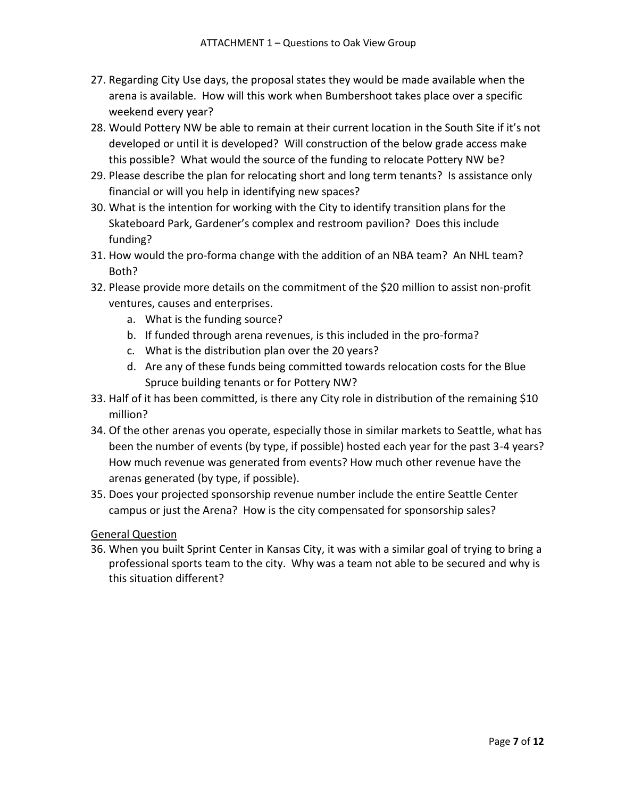- 27. Regarding City Use days, the proposal states they would be made available when the arena is available. How will this work when Bumbershoot takes place over a specific weekend every year?
- 28. Would Pottery NW be able to remain at their current location in the South Site if it's not developed or until it is developed? Will construction of the below grade access make this possible? What would the source of the funding to relocate Pottery NW be?
- 29. Please describe the plan for relocating short and long term tenants? Is assistance only financial or will you help in identifying new spaces?
- 30. What is the intention for working with the City to identify transition plans for the Skateboard Park, Gardener's complex and restroom pavilion? Does this include funding?
- 31. How would the pro-forma change with the addition of an NBA team? An NHL team? Both?
- 32. Please provide more details on the commitment of the \$20 million to assist non-profit ventures, causes and enterprises.
	- a. What is the funding source?
	- b. If funded through arena revenues, is this included in the pro-forma?
	- c. What is the distribution plan over the 20 years?
	- d. Are any of these funds being committed towards relocation costs for the Blue Spruce building tenants or for Pottery NW?
- 33. Half of it has been committed, is there any City role in distribution of the remaining \$10 million?
- 34. Of the other arenas you operate, especially those in similar markets to Seattle, what has been the number of events (by type, if possible) hosted each year for the past 3-4 years? How much revenue was generated from events? How much other revenue have the arenas generated (by type, if possible).
- 35. Does your projected sponsorship revenue number include the entire Seattle Center campus or just the Arena? How is the city compensated for sponsorship sales?

General Question

36. When you built Sprint Center in Kansas City, it was with a similar goal of trying to bring a professional sports team to the city. Why was a team not able to be secured and why is this situation different?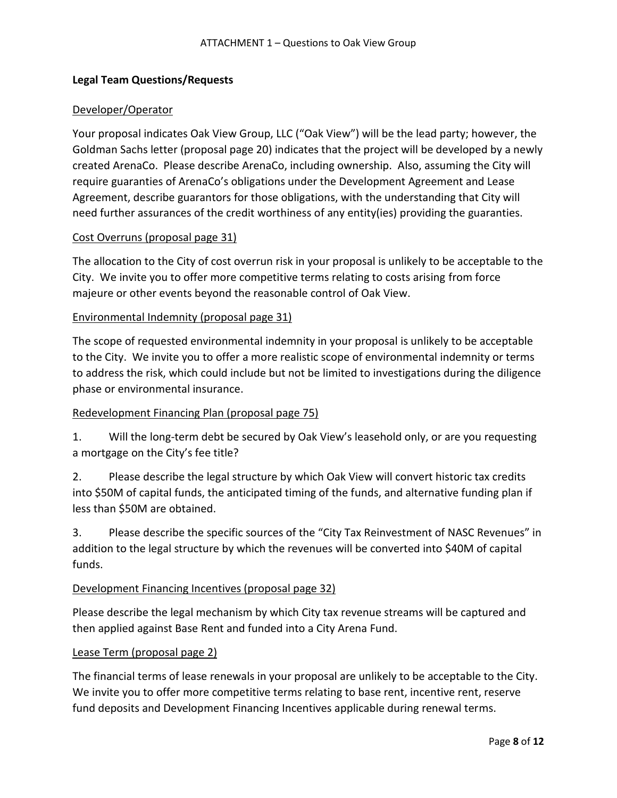## **Legal Team Questions/Requests**

#### Developer/Operator

Your proposal indicates Oak View Group, LLC ("Oak View") will be the lead party; however, the Goldman Sachs letter (proposal page 20) indicates that the project will be developed by a newly created ArenaCo. Please describe ArenaCo, including ownership. Also, assuming the City will require guaranties of ArenaCo's obligations under the Development Agreement and Lease Agreement, describe guarantors for those obligations, with the understanding that City will need further assurances of the credit worthiness of any entity(ies) providing the guaranties.

#### Cost Overruns (proposal page 31)

The allocation to the City of cost overrun risk in your proposal is unlikely to be acceptable to the City. We invite you to offer more competitive terms relating to costs arising from force majeure or other events beyond the reasonable control of Oak View.

## Environmental Indemnity (proposal page 31)

The scope of requested environmental indemnity in your proposal is unlikely to be acceptable to the City. We invite you to offer a more realistic scope of environmental indemnity or terms to address the risk, which could include but not be limited to investigations during the diligence phase or environmental insurance.

## Redevelopment Financing Plan (proposal page 75)

1. Will the long-term debt be secured by Oak View's leasehold only, or are you requesting a mortgage on the City's fee title?

2. Please describe the legal structure by which Oak View will convert historic tax credits into \$50M of capital funds, the anticipated timing of the funds, and alternative funding plan if less than \$50M are obtained.

3. Please describe the specific sources of the "City Tax Reinvestment of NASC Revenues" in addition to the legal structure by which the revenues will be converted into \$40M of capital funds.

#### Development Financing Incentives (proposal page 32)

Please describe the legal mechanism by which City tax revenue streams will be captured and then applied against Base Rent and funded into a City Arena Fund.

#### Lease Term (proposal page 2)

The financial terms of lease renewals in your proposal are unlikely to be acceptable to the City. We invite you to offer more competitive terms relating to base rent, incentive rent, reserve fund deposits and Development Financing Incentives applicable during renewal terms.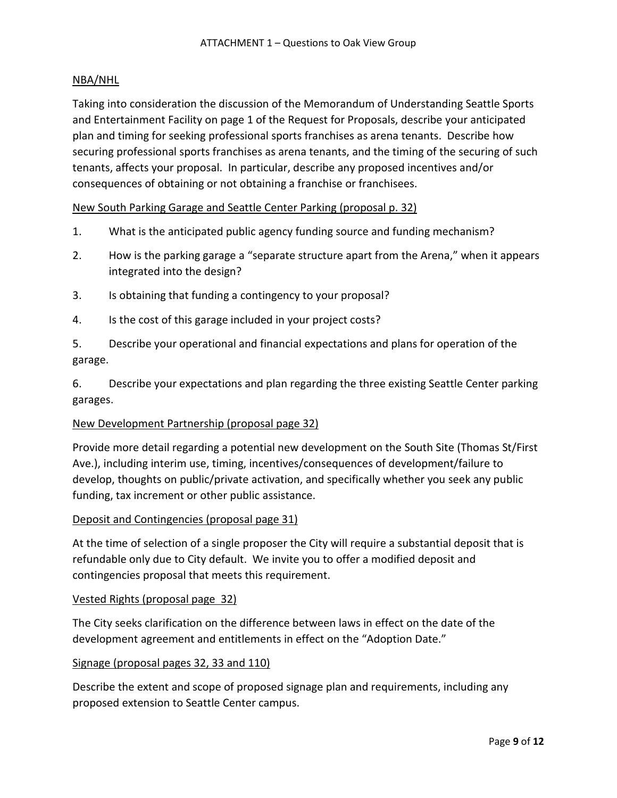## NBA/NHL

Taking into consideration the discussion of the Memorandum of Understanding Seattle Sports and Entertainment Facility on page 1 of the Request for Proposals, describe your anticipated plan and timing for seeking professional sports franchises as arena tenants. Describe how securing professional sports franchises as arena tenants, and the timing of the securing of such tenants, affects your proposal. In particular, describe any proposed incentives and/or consequences of obtaining or not obtaining a franchise or franchisees.

New South Parking Garage and Seattle Center Parking (proposal p. 32)

- 1. What is the anticipated public agency funding source and funding mechanism?
- 2. How is the parking garage a "separate structure apart from the Arena," when it appears integrated into the design?
- 3. Is obtaining that funding a contingency to your proposal?
- 4. Is the cost of this garage included in your project costs?
- 5. Describe your operational and financial expectations and plans for operation of the garage.

6. Describe your expectations and plan regarding the three existing Seattle Center parking garages.

#### New Development Partnership (proposal page 32)

Provide more detail regarding a potential new development on the South Site (Thomas St/First Ave.), including interim use, timing, incentives/consequences of development/failure to develop, thoughts on public/private activation, and specifically whether you seek any public funding, tax increment or other public assistance.

#### Deposit and Contingencies (proposal page 31)

At the time of selection of a single proposer the City will require a substantial deposit that is refundable only due to City default. We invite you to offer a modified deposit and contingencies proposal that meets this requirement.

#### Vested Rights (proposal page 32)

The City seeks clarification on the difference between laws in effect on the date of the development agreement and entitlements in effect on the "Adoption Date."

#### Signage (proposal pages 32, 33 and 110)

Describe the extent and scope of proposed signage plan and requirements, including any proposed extension to Seattle Center campus.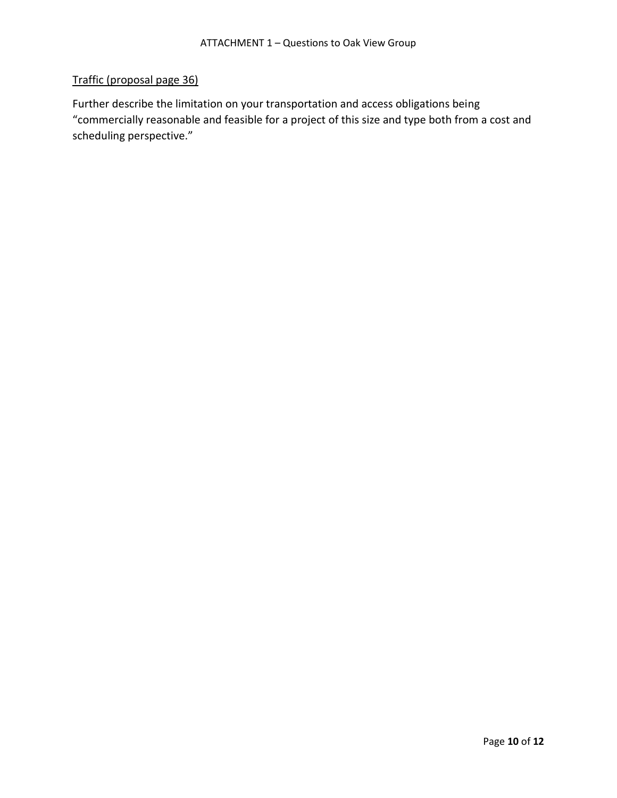# Traffic (proposal page 36)

Further describe the limitation on your transportation and access obligations being "commercially reasonable and feasible for a project of this size and type both from a cost and scheduling perspective."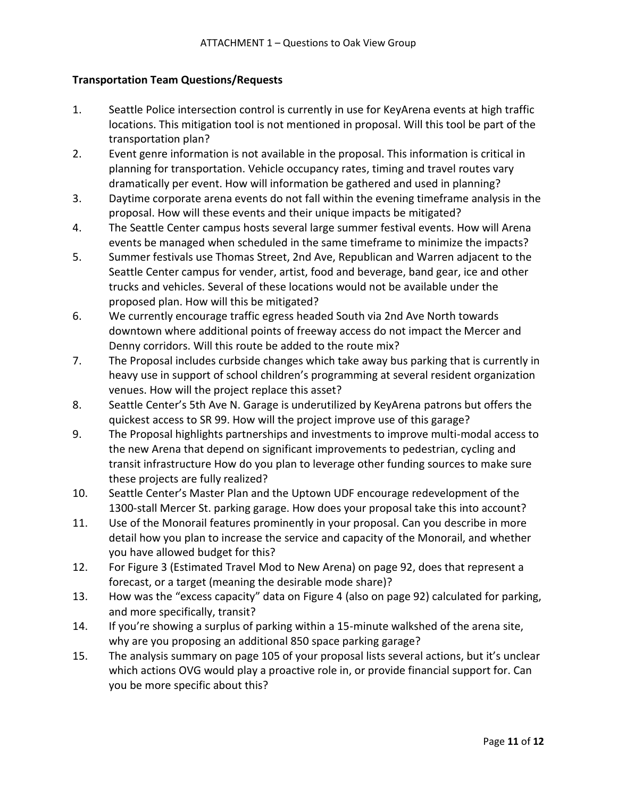## **Transportation Team Questions/Requests**

- 1. Seattle Police intersection control is currently in use for KeyArena events at high traffic locations. This mitigation tool is not mentioned in proposal. Will this tool be part of the transportation plan?
- 2. Event genre information is not available in the proposal. This information is critical in planning for transportation. Vehicle occupancy rates, timing and travel routes vary dramatically per event. How will information be gathered and used in planning?
- 3. Daytime corporate arena events do not fall within the evening timeframe analysis in the proposal. How will these events and their unique impacts be mitigated?
- 4. The Seattle Center campus hosts several large summer festival events. How will Arena events be managed when scheduled in the same timeframe to minimize the impacts?
- 5. Summer festivals use Thomas Street, 2nd Ave, Republican and Warren adjacent to the Seattle Center campus for vender, artist, food and beverage, band gear, ice and other trucks and vehicles. Several of these locations would not be available under the proposed plan. How will this be mitigated?
- 6. We currently encourage traffic egress headed South via 2nd Ave North towards downtown where additional points of freeway access do not impact the Mercer and Denny corridors. Will this route be added to the route mix?
- 7. The Proposal includes curbside changes which take away bus parking that is currently in heavy use in support of school children's programming at several resident organization venues. How will the project replace this asset?
- 8. Seattle Center's 5th Ave N. Garage is underutilized by KeyArena patrons but offers the quickest access to SR 99. How will the project improve use of this garage?
- 9. The Proposal highlights partnerships and investments to improve multi-modal access to the new Arena that depend on significant improvements to pedestrian, cycling and transit infrastructure How do you plan to leverage other funding sources to make sure these projects are fully realized?
- 10. Seattle Center's Master Plan and the Uptown UDF encourage redevelopment of the 1300-stall Mercer St. parking garage. How does your proposal take this into account?
- 11. Use of the Monorail features prominently in your proposal. Can you describe in more detail how you plan to increase the service and capacity of the Monorail, and whether you have allowed budget for this?
- 12. For Figure 3 (Estimated Travel Mod to New Arena) on page 92, does that represent a forecast, or a target (meaning the desirable mode share)?
- 13. How was the "excess capacity" data on Figure 4 (also on page 92) calculated for parking, and more specifically, transit?
- 14. If you're showing a surplus of parking within a 15-minute walkshed of the arena site, why are you proposing an additional 850 space parking garage?
- 15. The analysis summary on page 105 of your proposal lists several actions, but it's unclear which actions OVG would play a proactive role in, or provide financial support for. Can you be more specific about this?